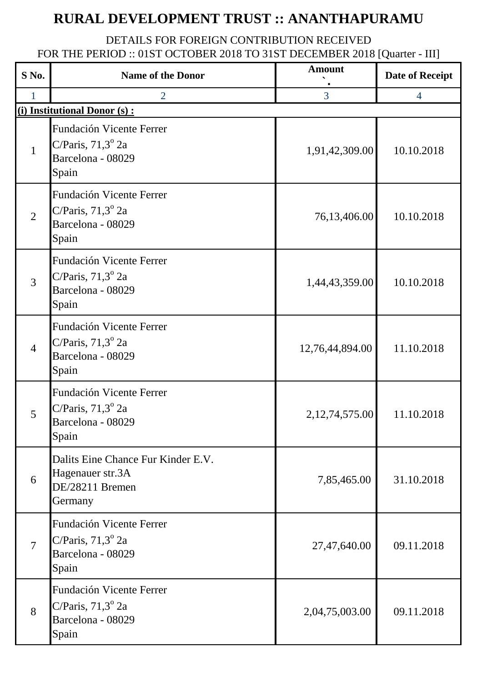## **RURAL DEVELOPMENT TRUST :: ANANTHAPURAMU**

## DETAILS FOR FOREIGN CONTRIBUTION RECEIVED FOR THE PERIOD :: 01ST OCTOBER 2018 TO 31ST DECEMBER 2018 [Quarter - III]

| S No.          | <b>Name of the Donor</b>                                                                    | <b>Amount</b>     | <b>Date of Receipt</b> |
|----------------|---------------------------------------------------------------------------------------------|-------------------|------------------------|
|                | $\overline{2}$                                                                              | 3                 | $\overline{4}$         |
|                | (i) Institutional Donor (s) :                                                               |                   |                        |
| $\mathbf{1}$   | Fundación Vicente Ferrer<br>C/Paris, $71,3^{\circ}$ 2a<br>Barcelona - 08029<br>Spain        | 1,91,42,309.00    | 10.10.2018             |
| $\overline{2}$ | <b>Fundación Vicente Ferrer</b><br>C/Paris, $71,3^{\circ}$ 2a<br>Barcelona - 08029<br>Spain | 76,13,406.00      | 10.10.2018             |
| $\overline{3}$ | <b>Fundación Vicente Ferrer</b><br>C/Paris, $71,3^{\circ}$ 2a<br>Barcelona - 08029<br>Spain | 1,44,43,359.00    | 10.10.2018             |
| $\overline{4}$ | Fundación Vicente Ferrer<br>C/Paris, $71,3^{\circ}$ 2a<br>Barcelona - 08029<br>Spain        | 12,76,44,894.00   | 11.10.2018             |
| 5              | Fundación Vicente Ferrer<br>C/Paris, $71,3^{\circ}$ 2a<br>Barcelona - 08029<br>Spain        | 2, 12, 74, 575.00 | 11.10.2018             |
| 6              | Dalits Eine Chance Fur Kinder E.V.<br>Hagenauer str.3A<br>DE/28211 Bremen<br>Germany        | 7,85,465.00       | 31.10.2018             |
| $\overline{7}$ | Fundación Vicente Ferrer<br>C/Paris, $71,3^{\circ}$ 2a<br>Barcelona - 08029<br>Spain        | 27,47,640.00      | 09.11.2018             |
| 8              | Fundación Vicente Ferrer<br>C/Paris, $71,3^{\circ}$ 2a<br>Barcelona - 08029<br>Spain        | 2,04,75,003.00    | 09.11.2018             |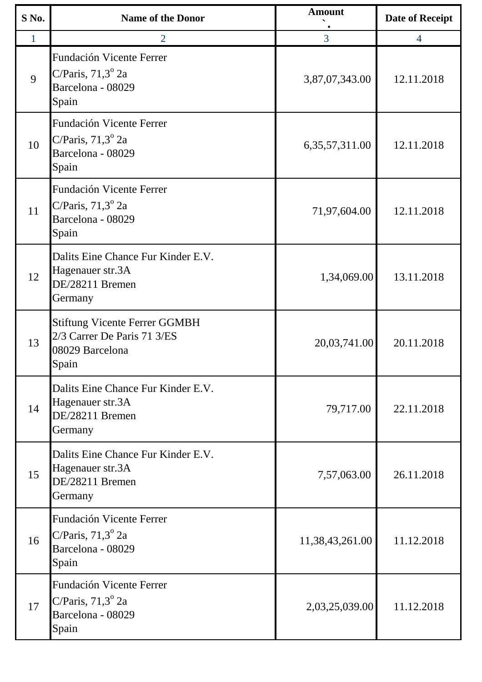| S No. | <b>Name of the Donor</b>                                                                        | <b>Amount</b>     | <b>Date of Receipt</b> |
|-------|-------------------------------------------------------------------------------------------------|-------------------|------------------------|
| 1     | $\overline{2}$                                                                                  | 3                 | $\overline{4}$         |
| 9     | Fundación Vicente Ferrer<br>C/Paris, $71,3^{\circ}$ 2a<br>Barcelona - 08029<br>Spain            | 3,87,07,343.00    | 12.11.2018             |
| 10    | Fundación Vicente Ferrer<br>C/Paris, $71,3^{\circ}$ 2a<br>Barcelona - 08029<br>Spain            | 6, 35, 57, 311.00 | 12.11.2018             |
| 11    | Fundación Vicente Ferrer<br>C/Paris, $71,3^{\circ}$ 2a<br>Barcelona - 08029<br>Spain            | 71,97,604.00      | 12.11.2018             |
| 12    | Dalits Eine Chance Fur Kinder E.V.<br>Hagenauer str.3A<br>DE/28211 Bremen<br>Germany            | 1,34,069.00       | 13.11.2018             |
| 13    | <b>Stiftung Vicente Ferrer GGMBH</b><br>2/3 Carrer De Paris 71 3/ES<br>08029 Barcelona<br>Spain | 20,03,741.00      | 20.11.2018             |
| 14    | Dalits Eine Chance Fur Kinder E.V.<br>Hagenauer str.3A<br>DE/28211 Bremen<br>Germany            | 79,717.00         | 22.11.2018             |
| 15    | Dalits Eine Chance Fur Kinder E.V.<br>Hagenauer str.3A<br>DE/28211 Bremen<br>Germany            | 7,57,063.00       | 26.11.2018             |
| 16    | Fundación Vicente Ferrer<br>C/Paris, $71,3^{\circ}$ 2a<br>Barcelona - 08029<br>Spain            | 11,38,43,261.00   | 11.12.2018             |
| 17    | Fundación Vicente Ferrer<br>C/Paris, $71,3^{\circ}$ 2a<br>Barcelona - 08029<br>Spain            | 2,03,25,039.00    | 11.12.2018             |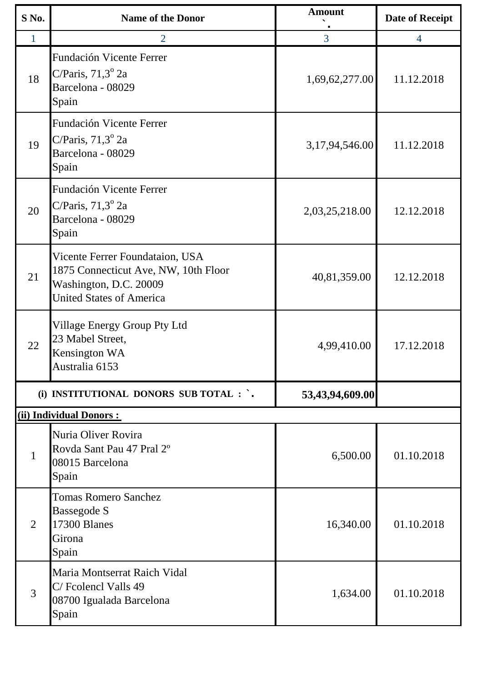| S No. | <b>Name of the Donor</b>                                                                                                             | <b>Amount</b>   | <b>Date of Receipt</b> |
|-------|--------------------------------------------------------------------------------------------------------------------------------------|-----------------|------------------------|
|       | $\overline{2}$                                                                                                                       | 3               | $\overline{4}$         |
| 18    | Fundación Vicente Ferrer<br>C/Paris, $71,3^{\circ}$ 2a<br>Barcelona - 08029<br>Spain                                                 | 1,69,62,277.00  | 11.12.2018             |
| 19    | Fundación Vicente Ferrer<br>C/Paris, $71,3^{\circ}$ 2a<br>Barcelona - 08029<br>Spain                                                 | 3,17,94,546.00  | 11.12.2018             |
| 20    | Fundación Vicente Ferrer<br>C/Paris, $71,3^{\circ}$ 2a<br>Barcelona - 08029<br>Spain                                                 | 2,03,25,218.00  | 12.12.2018             |
| 21    | Vicente Ferrer Foundataion, USA<br>1875 Connecticut Ave, NW, 10th Floor<br>Washington, D.C. 20009<br><b>United States of America</b> | 40,81,359.00    | 12.12.2018             |
| 22    | Village Energy Group Pty Ltd<br>23 Mabel Street,<br>Kensington WA<br>Australia 6153                                                  | 4,99,410.00     | 17.12.2018             |
|       | (i) INSTITUTIONAL DONORS SUB TOTAL : `.                                                                                              | 53,43,94,609.00 |                        |
|       | (ii) Individual Donors:                                                                                                              |                 |                        |
| 1     | Nuria Oliver Rovira<br>Rovda Sant Pau 47 Pral 2°<br>08015 Barcelona<br>Spain                                                         | 6,500.00        | 01.10.2018             |
| 2     | <b>Tomas Romero Sanchez</b><br>Bassegode S<br>17300 Blanes<br>Girona<br>Spain                                                        | 16,340.00       | 01.10.2018             |
| 3     | Maria Montserrat Raich Vidal<br>C/Fcolencl Valls 49<br>08700 Igualada Barcelona<br>Spain                                             | 1,634.00        | 01.10.2018             |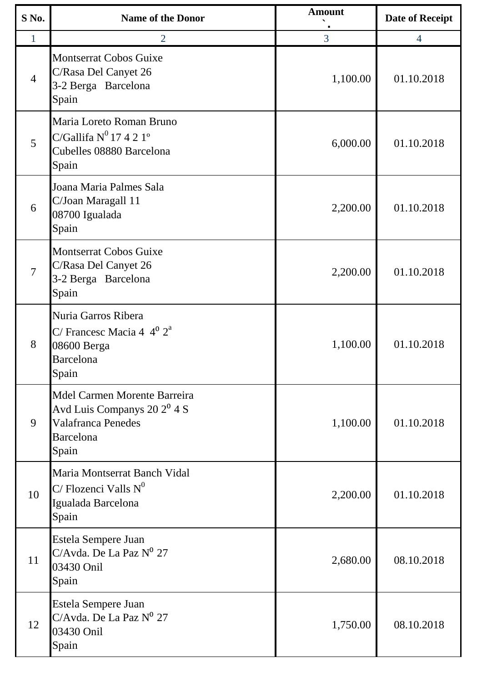| S No.          | <b>Name of the Donor</b>                                                                                          | <b>Amount</b> | <b>Date of Receipt</b> |
|----------------|-------------------------------------------------------------------------------------------------------------------|---------------|------------------------|
| 1              | $\overline{2}$                                                                                                    | 3             | $\overline{4}$         |
| $\overline{4}$ | <b>Montserrat Cobos Guixe</b><br>C/Rasa Del Canyet 26<br>3-2 Berga Barcelona<br>Spain                             | 1,100.00      | 01.10.2018             |
| 5              | Maria Loreto Roman Bruno<br>C/Gallifa $N^0$ 17 4 2 1°<br>Cubelles 08880 Barcelona<br>Spain                        | 6,000.00      | 01.10.2018             |
| 6              | Joana Maria Palmes Sala<br>C/Joan Maragall 11<br>08700 Igualada<br>Spain                                          | 2,200.00      | 01.10.2018             |
| $\overline{7}$ | Montserrat Cobos Guixe<br>C/Rasa Del Canyet 26<br>3-2 Berga Barcelona<br>Spain                                    | 2,200.00      | 01.10.2018             |
| 8              | Nuria Garros Ribera<br>C/ Francesc Macia 4 $4^{\circ} 2^{\circ}$<br>08600 Berga<br><b>Barcelona</b><br>Spain      | 1,100.00      | 01.10.2018             |
| 9              | Mdel Carmen Morente Barreira<br>Avd Luis Companys $20 2^0 4 S$<br>Valafranca Penedes<br><b>Barcelona</b><br>Spain | 1,100.00      | 01.10.2018             |
| 10             | Maria Montserrat Banch Vidal<br>C/Flozenci Valls $N^0$<br>Igualada Barcelona<br>Spain                             | 2,200.00      | 01.10.2018             |
| 11             | Estela Sempere Juan<br>C/Avda. De La Paz $N^0$ 27<br>03430 Onil<br>Spain                                          | 2,680.00      | 08.10.2018             |
| 12             | Estela Sempere Juan<br>C/Avda. De La Paz Nº 27<br>03430 Onil<br>Spain                                             | 1,750.00      | 08.10.2018             |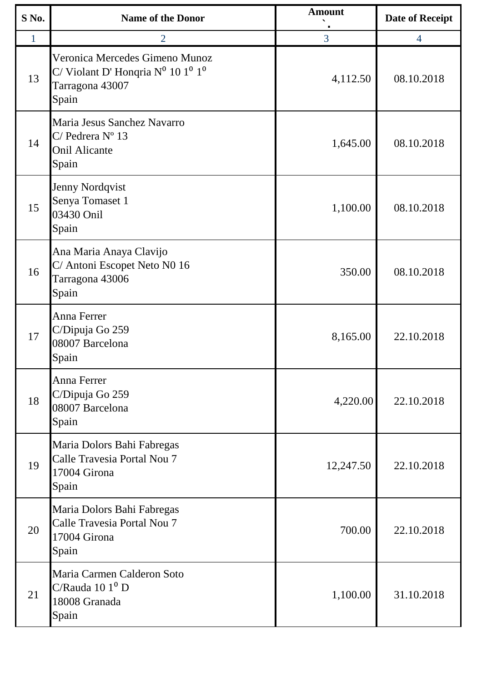| S No.        | <b>Name of the Donor</b>                                                                                                 | <b>Amount</b> | <b>Date of Receipt</b> |
|--------------|--------------------------------------------------------------------------------------------------------------------------|---------------|------------------------|
| $\mathbf{1}$ | 2                                                                                                                        | 3             | $\overline{4}$         |
| 13           | Veronica Mercedes Gimeno Munoz<br>C/Violant D'Honqria $N^0$ 10 1 <sup>0</sup> 1 <sup>0</sup><br>Tarragona 43007<br>Spain | 4,112.50      | 08.10.2018             |
| 14           | Maria Jesus Sanchez Navarro<br>$C/$ Pedrera $N^{\circ}$ 13<br><b>Onil Alicante</b><br>Spain                              | 1,645.00      | 08.10.2018             |
| 15           | <b>Jenny Nordqvist</b><br>Senya Tomaset 1<br>03430 Onil<br>Spain                                                         | 1,100.00      | 08.10.2018             |
| 16           | Ana Maria Anaya Clavijo<br>C/ Antoni Escopet Neto N0 16<br>Tarragona 43006<br>Spain                                      | 350.00        | 08.10.2018             |
| 17           | Anna Ferrer<br>C/Dipuja Go 259<br>08007 Barcelona<br>Spain                                                               | 8,165.00      | 22.10.2018             |
| 18           | <b>Anna Ferrer</b><br>C/Dipuja Go 259<br>08007 Barcelona<br>Spain                                                        | 4,220.00      | 22.10.2018             |
| 19           | Maria Dolors Bahi Fabregas<br>Calle Travesia Portal Nou 7<br>17004 Girona<br>Spain                                       | 12,247.50     | 22.10.2018             |
| 20           | Maria Dolors Bahi Fabregas<br>Calle Travesia Portal Nou 7<br>17004 Girona<br>Spain                                       | 700.00        | 22.10.2018             |
| 21           | Maria Carmen Calderon Soto<br>C/Rauda $101^0$ D<br>18008 Granada<br>Spain                                                | 1,100.00      | 31.10.2018             |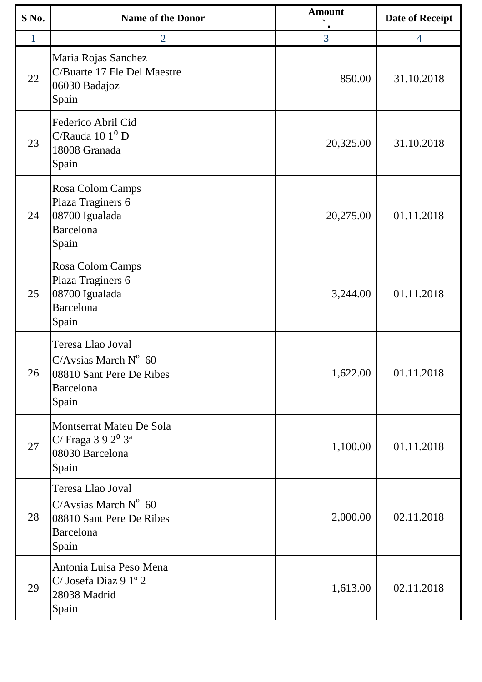| $S$ No. | <b>Name of the Donor</b>                                                                                    | <b>Amount</b> | <b>Date of Receipt</b> |
|---------|-------------------------------------------------------------------------------------------------------------|---------------|------------------------|
| 1       | $\overline{2}$                                                                                              | 3             | 4                      |
| 22      | Maria Rojas Sanchez<br>C/Buarte 17 Fle Del Maestre<br>06030 Badajoz<br>Spain                                | 850.00        | 31.10.2018             |
| 23      | Federico Abril Cid<br>$C/R$ auda 10 1 <sup>0</sup> D<br>18008 Granada<br>Spain                              | 20,325.00     | 31.10.2018             |
| 24      | Rosa Colom Camps<br>Plaza Traginers 6<br>08700 Igualada<br>Barcelona<br>Spain                               | 20,275.00     | 01.11.2018             |
| 25      | Rosa Colom Camps<br>Plaza Traginers 6<br>08700 Igualada<br>Barcelona<br>Spain                               | 3,244.00      | 01.11.2018             |
| 26      | Teresa Llao Joval<br>C/Avsias March $N^{\circ}$ 60<br>08810 Sant Pere De Ribes<br>Barcelona<br>Spain        | 1,622.00      | 01.11.2018             |
| 27      | Montserrat Mateu De Sola<br>C/ Fraga $392^03^a$<br>08030 Barcelona<br>Spain                                 | 1,100.00      | 01.11.2018             |
| 28      | Teresa Llao Joval<br>C/Avsias March $N^{\circ}$ 60<br>08810 Sant Pere De Ribes<br><b>Barcelona</b><br>Spain | 2,000.00      | 02.11.2018             |
| 29      | Antonia Luisa Peso Mena<br>$C/$ Josefa Diaz 9 1° 2<br>28038 Madrid<br>Spain                                 | 1,613.00      | 02.11.2018             |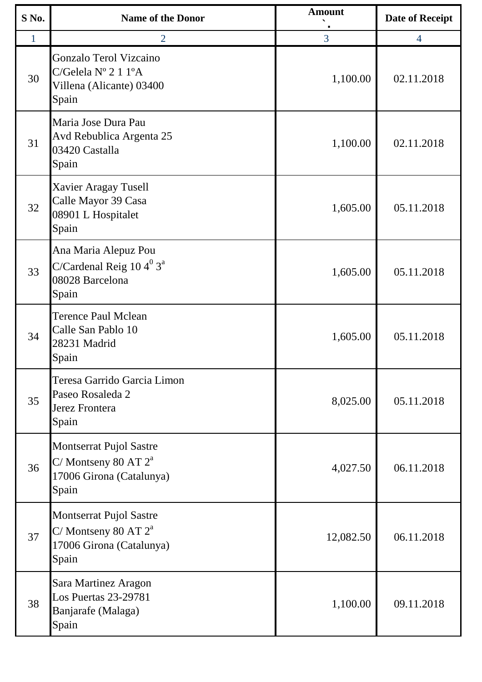| S No. | <b>Name of the Donor</b>                                                                    | <b>Amount</b> | <b>Date of Receipt</b> |
|-------|---------------------------------------------------------------------------------------------|---------------|------------------------|
| 1     | $\overline{2}$                                                                              | 3             | $\overline{4}$         |
| 30    | Gonzalo Terol Vizcaino<br>C/Gelela $N^{\circ}$ 2 1 1°A<br>Villena (Alicante) 03400<br>Spain | 1,100.00      | 02.11.2018             |
| 31    | Maria Jose Dura Pau<br>Avd Rebublica Argenta 25<br>03420 Castalla<br>Spain                  | 1,100.00      | 02.11.2018             |
| 32    | <b>Xavier Aragay Tusell</b><br>Calle Mayor 39 Casa<br>08901 L Hospitalet<br>Spain           | 1,605.00      | 05.11.2018             |
| 33    | Ana Maria Alepuz Pou<br>C/Cardenal Reig $104^03^a$<br>08028 Barcelona<br>Spain              | 1,605.00      | 05.11.2018             |
| 34    | <b>Terence Paul Mclean</b><br>Calle San Pablo 10<br>28231 Madrid<br>Spain                   | 1,605.00      | 05.11.2018             |
| 35    | Teresa Garrido Garcia Limon<br>Paseo Rosaleda 2<br>Jerez Frontera<br>Spain                  | 8,025.00      | 05.11.2018             |
| 36    | Montserrat Pujol Sastre<br>C/Montseny 80 AT $2^a$<br>17006 Girona (Catalunya)<br>Spain      | 4,027.50      | 06.11.2018             |
| 37    | Montserrat Pujol Sastre<br>C/Montseny 80 AT $2^a$<br>17006 Girona (Catalunya)<br>Spain      | 12,082.50     | 06.11.2018             |
| 38    | Sara Martinez Aragon<br><b>Los Puertas 23-29781</b><br>Banjarafe (Malaga)<br>Spain          | 1,100.00      | 09.11.2018             |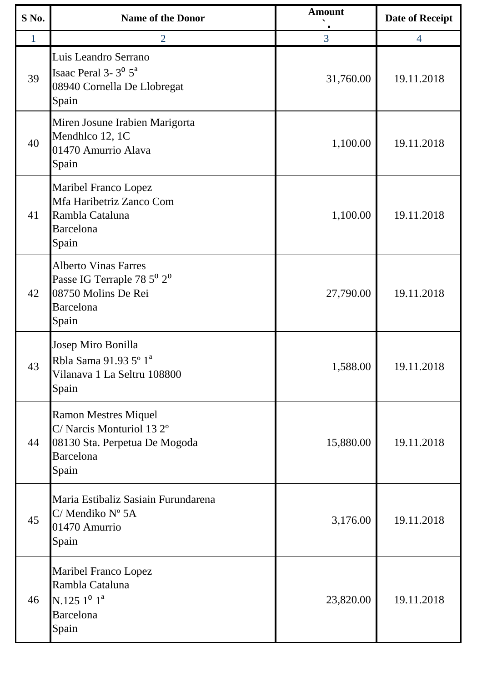| S No.        | <b>Name of the Donor</b>                                                                                                 | <b>Amount</b> | <b>Date of Receipt</b> |
|--------------|--------------------------------------------------------------------------------------------------------------------------|---------------|------------------------|
| $\mathbf{1}$ | $\overline{2}$                                                                                                           | 3             | $\overline{4}$         |
| 39           | Luis Leandro Serrano<br>Isaac Peral 3- $3^0$ $5^a$<br>08940 Cornella De Llobregat<br>Spain                               | 31,760.00     | 19.11.2018             |
| 40           | Miren Josune Irabien Marigorta<br>Mendhlco 12, 1C<br>01470 Amurrio Alava<br>Spain                                        | 1,100.00      | 19.11.2018             |
| 41           | <b>Maribel Franco Lopez</b><br>Mfa Haribetriz Zanco Com<br>Rambla Cataluna<br>Barcelona<br>Spain                         | 1,100.00      | 19.11.2018             |
| 42           | <b>Alberto Vinas Farres</b><br>Passe IG Terraple 78 $5^{\rm 0}$ $2^{\rm 0}$<br>08750 Molins De Rei<br>Barcelona<br>Spain | 27,790.00     | 19.11.2018             |
| 43           | Josep Miro Bonilla<br>Rbla Sama 91.93 5° 1 <sup>ª</sup><br>Vilanava 1 La Seltru 108800<br>Spain                          | 1,588.00      | 19.11.2018             |
| 44           | <b>Ramon Mestres Miquel</b><br>C/ Narcis Monturiol 13 2°<br>08130 Sta. Perpetua De Mogoda<br>Barcelona<br>Spain          | 15,880.00     | 19.11.2018             |
| 45           | Maria Estibaliz Sasiain Furundarena<br>C/ Mendiko Nº 5A<br>01470 Amurrio<br>Spain                                        | 3,176.00      | 19.11.2018             |
| 46           | Maribel Franco Lopez<br>Rambla Cataluna<br>N.125 $1^0$ $1^a$<br><b>Barcelona</b><br>Spain                                | 23,820.00     | 19.11.2018             |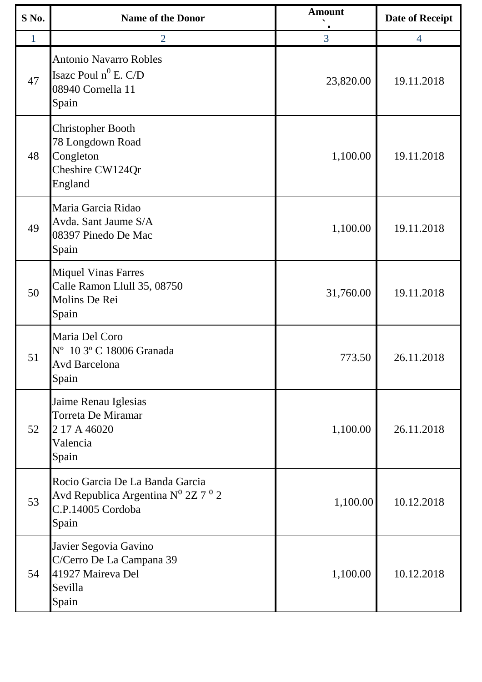| S No. | <b>Name of the Donor</b>                                                                                                    | <b>Amount</b> | <b>Date of Receipt</b> |
|-------|-----------------------------------------------------------------------------------------------------------------------------|---------------|------------------------|
|       | $\overline{2}$                                                                                                              | 3             | $\overline{4}$         |
| 47    | <b>Antonio Navarro Robles</b><br>Isaze Poul $n^0$ E. C/D<br>08940 Cornella 11<br>Spain                                      | 23,820.00     | 19.11.2018             |
| 48    | <b>Christopher Booth</b><br>78 Longdown Road<br>Congleton<br>Cheshire CW124Qr<br>England                                    | 1,100.00      | 19.11.2018             |
| 49    | Maria Garcia Ridao<br>Avda. Sant Jaume S/A<br>08397 Pinedo De Mac<br>Spain                                                  | 1,100.00      | 19.11.2018             |
| 50    | <b>Miquel Vinas Farres</b><br>Calle Ramon Llull 35, 08750<br>Molins De Rei<br>Spain                                         | 31,760.00     | 19.11.2018             |
| 51    | Maria Del Coro<br>N° 10 3° C 18006 Granada<br><b>Avd Barcelona</b><br>Spain                                                 | 773.50        | 26.11.2018             |
| 52    | Jaime Renau Iglesias<br>Torreta De Miramar<br>2 17 A 46020<br>Valencia<br>Spain                                             | 1,100.00      | 26.11.2018             |
| 53    | Rocio Garcia De La Banda Garcia<br>Avd Republica Argentina N <sup>0</sup> 2Z 7 <sup>0</sup> 2<br>C.P.14005 Cordoba<br>Spain | 1,100.00      | 10.12.2018             |
| 54    | Javier Segovia Gavino<br>C/Cerro De La Campana 39<br>41927 Maireva Del<br>Sevilla<br>Spain                                  | 1,100.00      | 10.12.2018             |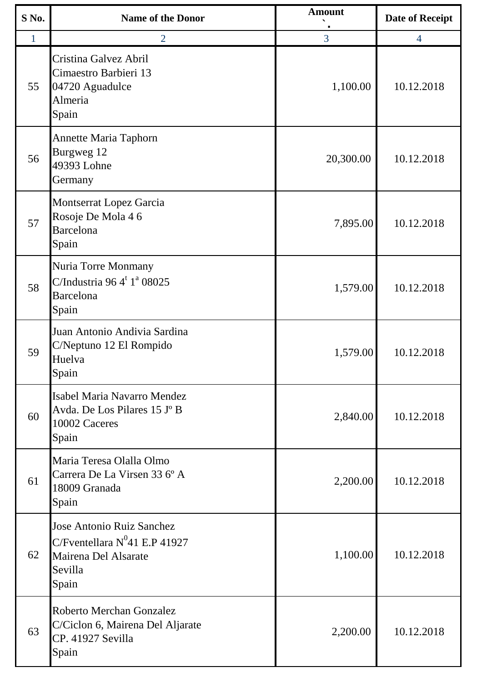| S No. | <b>Name of the Donor</b>                                                                                         | <b>Amount</b> | <b>Date of Receipt</b> |
|-------|------------------------------------------------------------------------------------------------------------------|---------------|------------------------|
| 1     | $\overline{2}$                                                                                                   | 3             | $\overline{4}$         |
| 55    | Cristina Galvez Abril<br>Cimaestro Barbieri 13<br>04720 Aguadulce<br>Almeria<br>Spain                            | 1,100.00      | 10.12.2018             |
| 56    | <b>Annette Maria Taphorn</b><br>Burgweg 12<br>49393 Lohne<br>Germany                                             | 20,300.00     | 10.12.2018             |
| 57    | Montserrat Lopez Garcia<br>Rosoje De Mola 4 6<br>Barcelona<br>Spain                                              | 7,895.00      | 10.12.2018             |
| 58    | Nuria Torre Monmany<br>C/Industria 96 $4^t$ 1 <sup>ª</sup> 08025<br>Barcelona<br>Spain                           | 1,579.00      | 10.12.2018             |
| 59    | Juan Antonio Andivia Sardina<br>C/Neptuno 12 El Rompido<br>Huelva<br>Spain                                       | 1,579.00      | 10.12.2018             |
| 60    | Isabel Maria Navarro Mendez<br>Avda. De Los Pilares 15 J° B<br>10002 Caceres<br>Spain                            | 2,840.00      | 10.12.2018             |
| 61    | Maria Teresa Olalla Olmo<br>Carrera De La Virsen 33 6° A<br>18009 Granada<br>Spain                               | 2,200.00      | 10.12.2018             |
| 62    | <b>Jose Antonio Ruiz Sanchez</b><br>C/Fventellara $N^0$ 41 E.P 41927<br>Mairena Del Alsarate<br>Sevilla<br>Spain | 1,100.00      | 10.12.2018             |
| 63    | Roberto Merchan Gonzalez<br>C/Ciclon 6, Mairena Del Aljarate<br>CP. 41927 Sevilla<br>Spain                       | 2,200.00      | 10.12.2018             |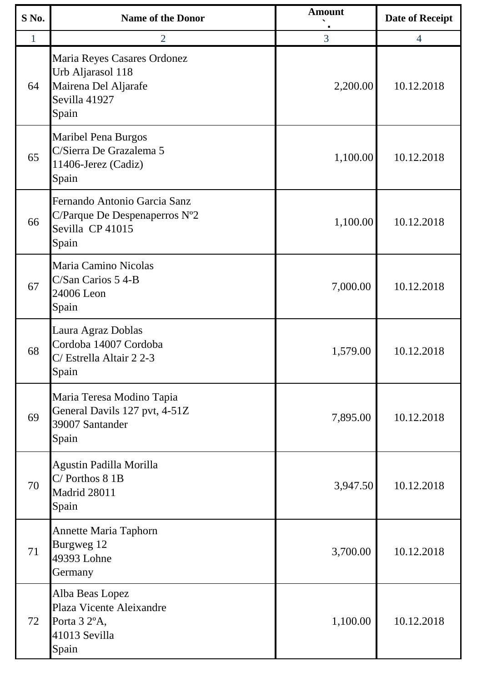| S No. | <b>Name of the Donor</b>                                                                            | <b>Amount</b> | <b>Date of Receipt</b> |
|-------|-----------------------------------------------------------------------------------------------------|---------------|------------------------|
| 1     | $\overline{2}$                                                                                      | 3             | $\overline{4}$         |
| 64    | Maria Reyes Casares Ordonez<br>Urb Aljarasol 118<br>Mairena Del Aljarafe<br>Sevilla 41927<br>Spain  | 2,200.00      | 10.12.2018             |
| 65    | <b>Maribel Pena Burgos</b><br>C/Sierra De Grazalema 5<br>11406-Jerez (Cadiz)<br>Spain               | 1,100.00      | 10.12.2018             |
| 66    | Fernando Antonio Garcia Sanz<br>C/Parque De Despenaperros $N^{\circ}2$<br>Sevilla CP 41015<br>Spain | 1,100.00      | 10.12.2018             |
| 67    | Maria Camino Nicolas<br>C/San Carios 5 4-B<br>24006 Leon<br>Spain                                   | 7,000.00      | 10.12.2018             |
| 68    | Laura Agraz Doblas<br>Cordoba 14007 Cordoba<br>C/ Estrella Altair 2 2-3<br>Spain                    | 1,579.00      | 10.12.2018             |
| 69    | Maria Teresa Modino Tapia<br>General Davils 127 pvt, 4-51Z<br>39007 Santander<br>Spain              | 7,895.00      | 10.12.2018             |
| 70    | Agustin Padilla Morilla<br>$C/$ Porthos $81B$<br>Madrid 28011<br>Spain                              | 3,947.50      | 10.12.2018             |
| 71    | <b>Annette Maria Taphorn</b><br>Burgweg 12<br>49393 Lohne<br>Germany                                | 3,700.00      | 10.12.2018             |
| 72    | Alba Beas Lopez<br>Plaza Vicente Aleixandre<br>Porta 3 2°A,<br>41013 Sevilla<br>Spain               | 1,100.00      | 10.12.2018             |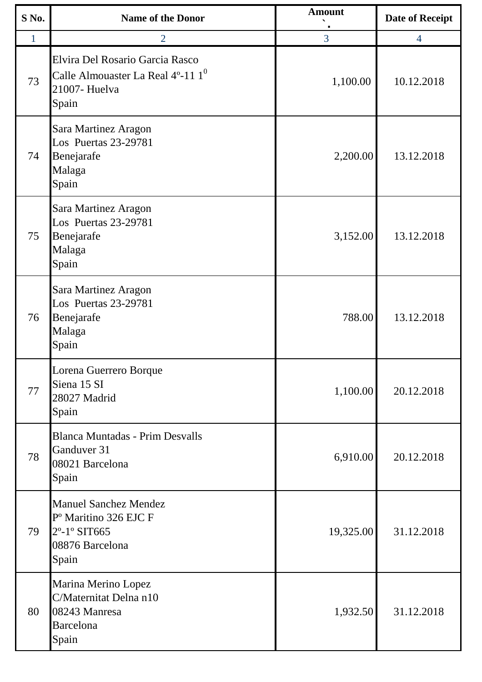| S No. | <b>Name of the Donor</b>                                                                                                               | <b>Amount</b> | <b>Date of Receipt</b> |
|-------|----------------------------------------------------------------------------------------------------------------------------------------|---------------|------------------------|
| 1     | $\overline{2}$                                                                                                                         | 3             | $\overline{4}$         |
| 73    | Elvira Del Rosario Garcia Rasco<br>Calle Almouaster La Real 4°-11 $1^0$<br>21007- Huelva<br>Spain                                      | 1,100.00      | 10.12.2018             |
| 74    | Sara Martinez Aragon<br>Los Puertas 23-29781<br>Benejarafe<br>Malaga<br>Spain                                                          | 2,200.00      | 13.12.2018             |
| 75    | Sara Martinez Aragon<br>Los Puertas 23-29781<br>Benejarafe<br>Malaga<br>Spain                                                          | 3,152.00      | 13.12.2018             |
| 76    | Sara Martinez Aragon<br>Los Puertas 23-29781<br>Benejarafe<br>Malaga<br>Spain                                                          | 788.00        | 13.12.2018             |
| 77    | Lorena Guerrero Borque<br>Siena 15 SI<br>28027 Madrid<br>Spain                                                                         | 1,100.00      | 20.12.2018             |
| 78    | <b>Blanca Muntadas - Prim Desvalls</b><br>Ganduver 31<br>08021 Barcelona<br>Spain                                                      | 6,910.00      | 20.12.2018             |
| 79    | <b>Manuel Sanchez Mendez</b><br>P <sup>o</sup> Maritino 326 EJC F<br>2 <sup>°</sup> -1 <sup>°</sup> SIT665<br>08876 Barcelona<br>Spain | 19,325.00     | 31.12.2018             |
| 80    | Marina Merino Lopez<br>C/Maternitat Delna n10<br>08243 Manresa<br>Barcelona<br>Spain                                                   | 1,932.50      | 31.12.2018             |